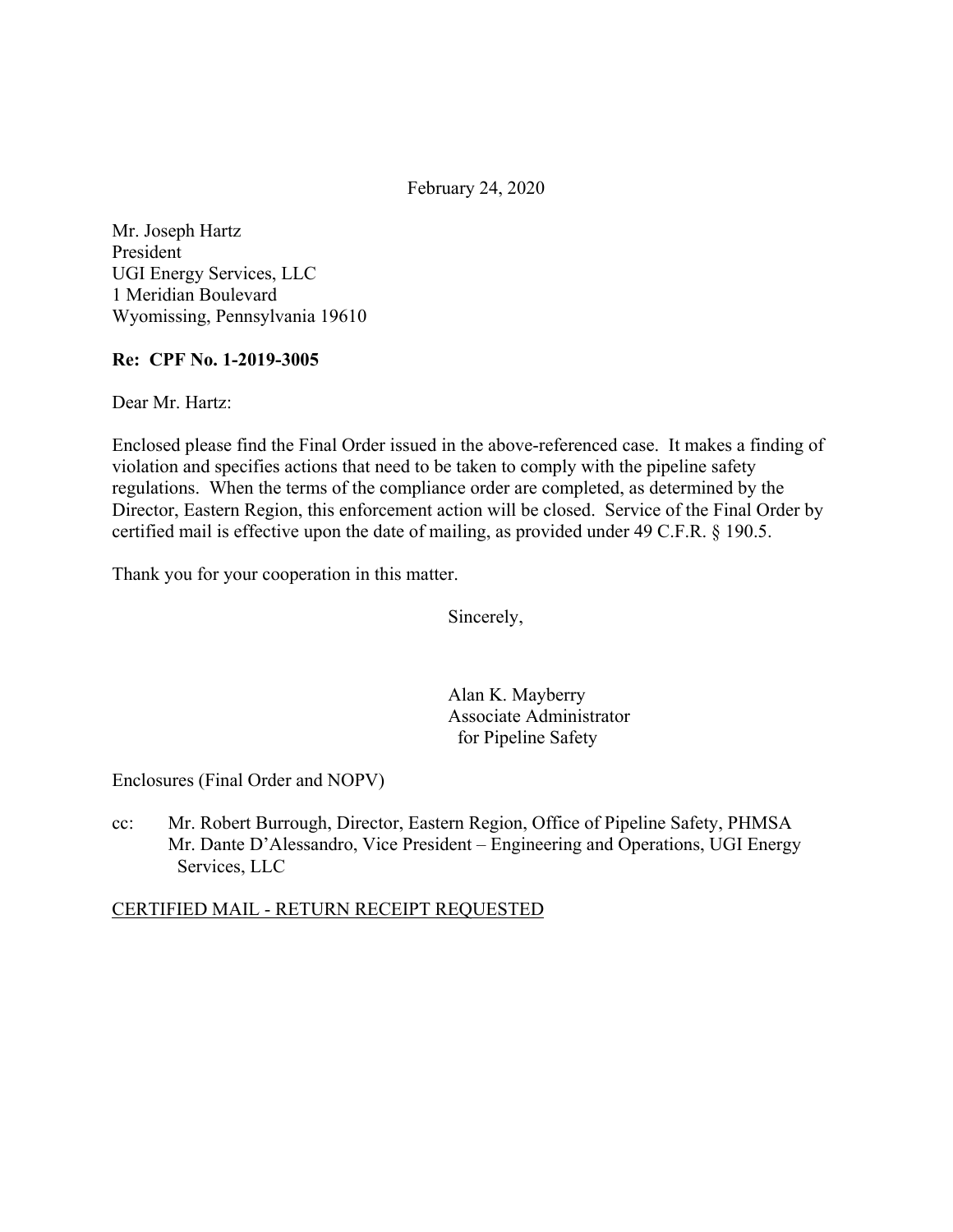February 24, 2020

Mr. Joseph Hartz President UGI Energy Services, LLC 1 Meridian Boulevard Wyomissing, Pennsylvania 19610

#### **Re: CPF No. 1-2019-3005**

Dear Mr. Hartz:

Enclosed please find the Final Order issued in the above-referenced case. It makes a finding of violation and specifies actions that need to be taken to comply with the pipeline safety regulations. When the terms of the compliance order are completed, as determined by the Director, Eastern Region, this enforcement action will be closed. Service of the Final Order by certified mail is effective upon the date of mailing, as provided under 49 C.F.R. § 190.5.

Thank you for your cooperation in this matter.

Sincerely,

Alan K. Mayberry Associate Administrator for Pipeline Safety

Enclosures (Final Order and NOPV)

cc: Mr. Robert Burrough, Director, Eastern Region, Office of Pipeline Safety, PHMSA Mr. Dante D'Alessandro, Vice President – Engineering and Operations, UGI Energy Services, LLC

#### CERTIFIED MAIL - RETURN RECEIPT REQUESTED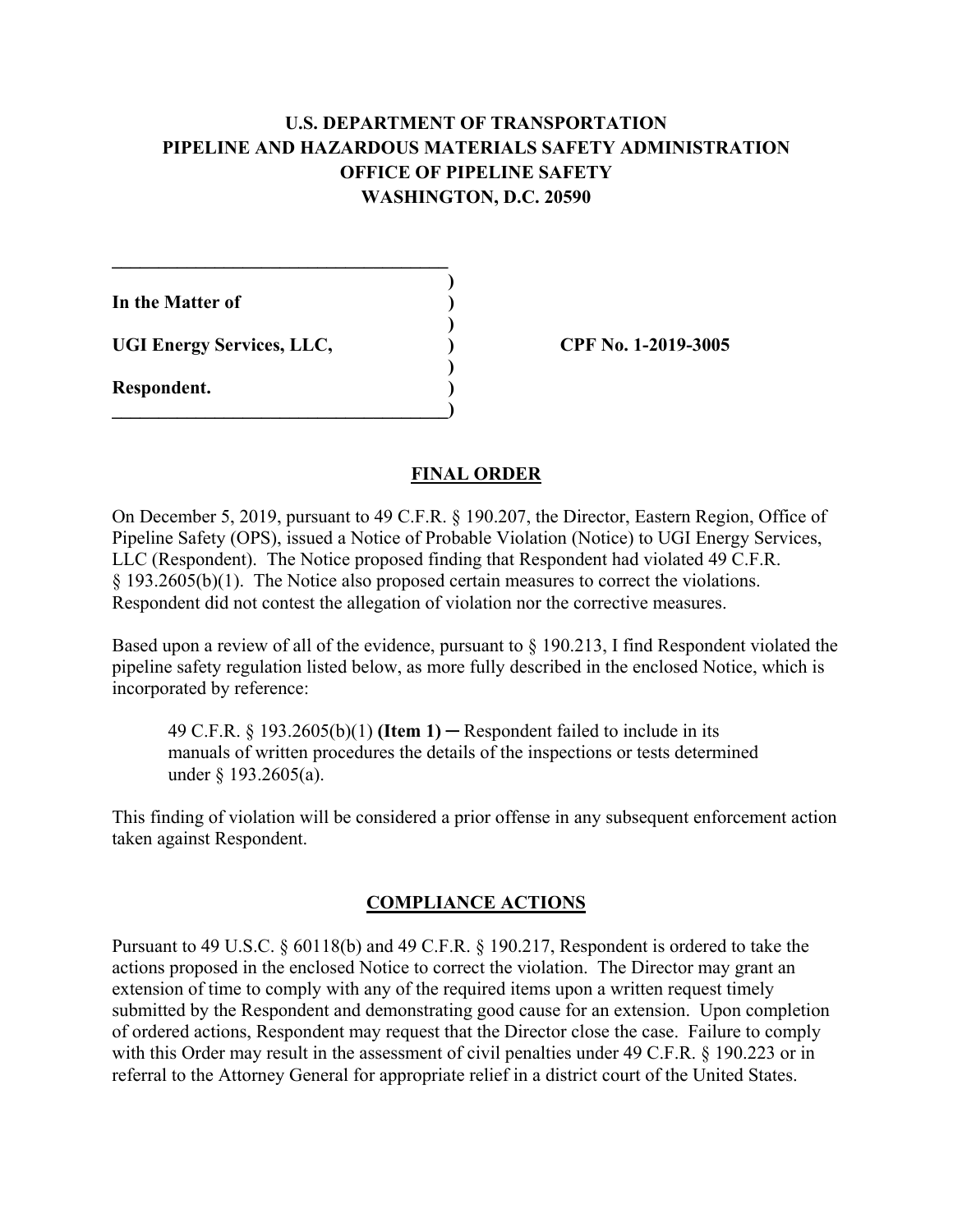# **U.S. DEPARTMENT OF TRANSPORTATION PIPELINE AND HAZARDOUS MATERIALS SAFETY ADMINISTRATION OFFICE OF PIPELINE SAFETY WASHINGTON, D.C. 20590**

**)** 

**)** 

**In the Matter of )** 

UGI Energy Services, LLC,  $\qquad \qquad$  (PF No. 1-2019-3005)

 $\mathcal{L}=\{1,2,3,4,5\}$ 

 **)** 

**\_\_\_\_\_\_\_\_\_\_\_\_\_\_\_\_\_\_\_\_\_\_\_\_\_\_\_\_\_\_\_\_\_\_\_\_)** 

**Respondent. )** 

### **FINAL ORDER**

On December 5, 2019, pursuant to 49 C.F.R. § 190.207, the Director, Eastern Region, Office of Pipeline Safety (OPS), issued a Notice of Probable Violation (Notice) to UGI Energy Services, LLC (Respondent). The Notice proposed finding that Respondent had violated 49 C.F.R. § 193.2605(b)(1). The Notice also proposed certain measures to correct the violations. Respondent did not contest the allegation of violation nor the corrective measures.

Based upon a review of all of the evidence, pursuant to § 190.213, I find Respondent violated the pipeline safety regulation listed below, as more fully described in the enclosed Notice, which is incorporated by reference:

49 C.F.R. § 193.2605(b)(1) **(Item 1)** ─ Respondent failed to include in its manuals of written procedures the details of the inspections or tests determined under § 193.2605(a).

This finding of violation will be considered a prior offense in any subsequent enforcement action taken against Respondent.

# **COMPLIANCE ACTIONS**

Pursuant to 49 U.S.C. § 60118(b) and 49 C.F.R. § 190.217, Respondent is ordered to take the actions proposed in the enclosed Notice to correct the violation. The Director may grant an extension of time to comply with any of the required items upon a written request timely submitted by the Respondent and demonstrating good cause for an extension. Upon completion of ordered actions, Respondent may request that the Director close the case. Failure to comply with this Order may result in the assessment of civil penalties under 49 C.F.R. § 190.223 or in referral to the Attorney General for appropriate relief in a district court of the United States.